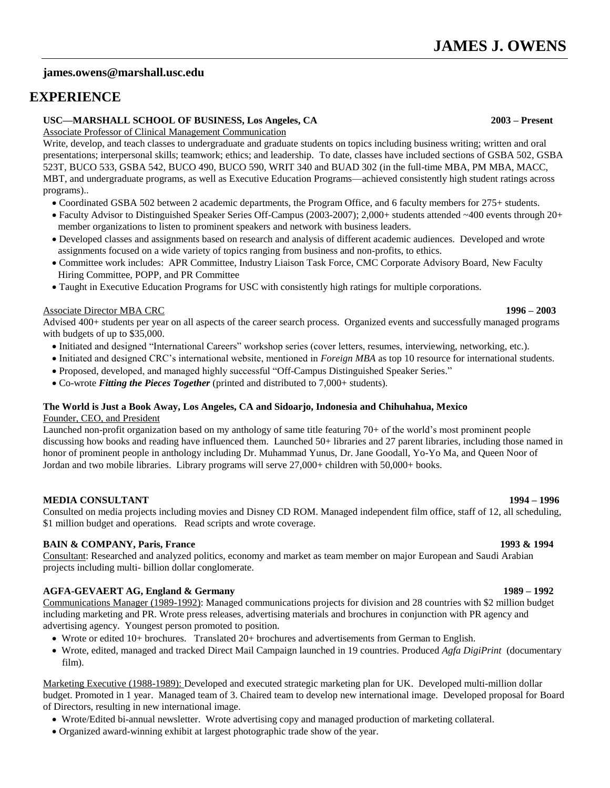# **james.owens@marshall.usc.edu**

# **EXPERIENCE**

## **USC—MARSHALL SCHOOL OF BUSINESS, Los Angeles, CA 2003 – Present**

Associate Professor of Clinical Management Communication

Write, develop, and teach classes to undergraduate and graduate students on topics including business writing; written and oral presentations; interpersonal skills; teamwork; ethics; and leadership. To date, classes have included sections of GSBA 502, GSBA 523T, BUCO 533, GSBA 542, BUCO 490, BUCO 590, WRIT 340 and BUAD 302 (in the full-time MBA, PM MBA, MACC, MBT, and undergraduate programs, as well as Executive Education Programs—achieved consistently high student ratings across programs)..

- Coordinated GSBA 502 between 2 academic departments, the Program Office, and 6 faculty members for 275+ students.
- Faculty Advisor to Distinguished Speaker Series Off-Campus (2003-2007); 2,000+ students attended ~400 events through 20+ member organizations to listen to prominent speakers and network with business leaders.
- Developed classes and assignments based on research and analysis of different academic audiences. Developed and wrote assignments focused on a wide variety of topics ranging from business and non-profits, to ethics.
- Committee work includes: APR Committee, Industry Liaison Task Force, CMC Corporate Advisory Board, New Faculty Hiring Committee, POPP, and PR Committee
- Taught in Executive Education Programs for USC with consistently high ratings for multiple corporations.

## Associate Director MBA CRC **1996 – 2003**

Advised 400+ students per year on all aspects of the career search process. Organized events and successfully managed programs with budgets of up to \$35,000.

- Initiated and designed "International Careers" workshop series (cover letters, resumes, interviewing, networking, etc.).
- Initiated and designed CRC's international website, mentioned in *Foreign MBA* as top 10 resource for international students.
- Proposed, developed, and managed highly successful "Off-Campus Distinguished Speaker Series."
- Co-wrote *Fitting the Pieces Together* (printed and distributed to 7,000+ students).

## **The World is Just a Book Away, Los Angeles, CA and Sidoarjo, Indonesia and Chihuhahua, Mexico**

## Founder, CEO, and President

Launched non-profit organization based on my anthology of same title featuring 70+ of the world's most prominent people discussing how books and reading have influenced them. Launched 50+ libraries and 27 parent libraries, including those named in honor of prominent people in anthology including Dr. Muhammad Yunus, Dr. Jane Goodall, Yo-Yo Ma, and Queen Noor of Jordan and two mobile libraries. Library programs will serve 27,000+ children with 50,000+ books.

## **MEDIA CONSULTANT 1994 – 1996**

Consulted on media projects including movies and Disney CD ROM. Managed independent film office, staff of 12, all scheduling, \$1 million budget and operations. Read scripts and wrote coverage.

## **BAIN & COMPANY, Paris, France 1993 & 1994**

Consultant: Researched and analyzed politics, economy and market as team member on major European and Saudi Arabian projects including multi- billion dollar conglomerate.

## **AGFA-GEVAERT AG, England & Germany 1989 – 1992**

Communications Manager (1989-1992): Managed communications projects for division and 28 countries with \$2 million budget including marketing and PR. Wrote press releases, advertising materials and brochures in conjunction with PR agency and advertising agency. Youngest person promoted to position.

- Wrote or edited 10+ brochures. Translated 20+ brochures and advertisements from German to English.
- Wrote, edited, managed and tracked Direct Mail Campaign launched in 19 countries. Produced *Agfa DigiPrint* (documentary film).

Marketing Executive (1988-1989): Developed and executed strategic marketing plan for UK. Developed multi-million dollar budget. Promoted in 1 year. Managed team of 3. Chaired team to develop new international image. Developed proposal for Board of Directors, resulting in new international image.

- Wrote/Edited bi-annual newsletter. Wrote advertising copy and managed production of marketing collateral.
- Organized award-winning exhibit at largest photographic trade show of the year.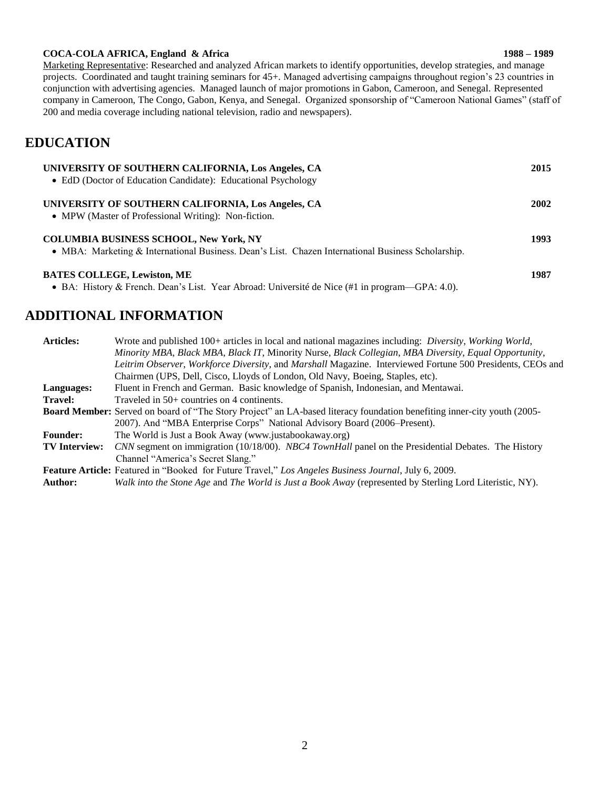### **COCA-COLA AFRICA, England & Africa 1988 – 1989**

Marketing Representative: Researched and analyzed African markets to identify opportunities, develop strategies, and manage projects. Coordinated and taught training seminars for 45+. Managed advertising campaigns throughout region's 23 countries in conjunction with advertising agencies. Managed launch of major promotions in Gabon, Cameroon, and Senegal. Represented company in Cameroon, The Congo, Gabon, Kenya, and Senegal. Organized sponsorship of "Cameroon National Games" (staff of 200 and media coverage including national television, radio and newspapers).

# **EDUCATION**

| UNIVERSITY OF SOUTHERN CALIFORNIA, Los Angeles, CA<br>• EdD (Doctor of Education Candidate): Educational Psychology                                 | 2015 |
|-----------------------------------------------------------------------------------------------------------------------------------------------------|------|
| UNIVERSITY OF SOUTHERN CALIFORNIA, Los Angeles, CA<br>• MPW (Master of Professional Writing): Non-fiction.                                          | 2002 |
| <b>COLUMBIA BUSINESS SCHOOL, New York, NY</b><br>• MBA: Marketing & International Business. Dean's List. Chazen International Business Scholarship. | 1993 |
| <b>BATES COLLEGE, Lewiston, ME</b><br>• BA: History & French. Dean's List. Year Abroad: Université de Nice $(\#1 \text{ in program—GPA: } 4.0)$ .   | 1987 |

# **ADDITIONAL INFORMATION**

| <b>Articles:</b>                                                                                                               | Wrote and published 100+ articles in local and national magazines including: <i>Diversity, Working World,</i><br>Minority MBA, Black MBA, Black IT, Minority Nurse, Black Collegian, MBA Diversity, Equal Opportunity, |  |
|--------------------------------------------------------------------------------------------------------------------------------|------------------------------------------------------------------------------------------------------------------------------------------------------------------------------------------------------------------------|--|
|                                                                                                                                | Leitrim Observer, Workforce Diversity, and Marshall Magazine. Interviewed Fortune 500 Presidents, CEOs and                                                                                                             |  |
|                                                                                                                                | Chairmen (UPS, Dell, Cisco, Lloyds of London, Old Navy, Boeing, Staples, etc).                                                                                                                                         |  |
| Languages:                                                                                                                     | Fluent in French and German. Basic knowledge of Spanish, Indonesian, and Mentawai.                                                                                                                                     |  |
| <b>Travel:</b>                                                                                                                 | Traveled in 50+ countries on 4 continents.                                                                                                                                                                             |  |
| <b>Board Member:</b> Served on board of "The Story Project" an LA-based literacy foundation benefiting inner-city youth (2005- |                                                                                                                                                                                                                        |  |
|                                                                                                                                | 2007). And "MBA Enterprise Corps" National Advisory Board (2006–Present).                                                                                                                                              |  |
| <b>Founder:</b>                                                                                                                | The World is Just a Book Away (www.justabookaway.org)                                                                                                                                                                  |  |
| <b>TV</b> Interview:                                                                                                           | CNN segment on immigration (10/18/00). NBC4 TownHall panel on the Presidential Debates. The History                                                                                                                    |  |
|                                                                                                                                | Channel "America's Secret Slang."                                                                                                                                                                                      |  |
| <b>Feature Article:</b> Featured in "Booked for Future Travel," Los Angeles Business Journal, July 6, 2009.                    |                                                                                                                                                                                                                        |  |
| <b>Author:</b>                                                                                                                 | Walk into the Stone Age and The World is Just a Book Away (represented by Sterling Lord Literistic, NY).                                                                                                               |  |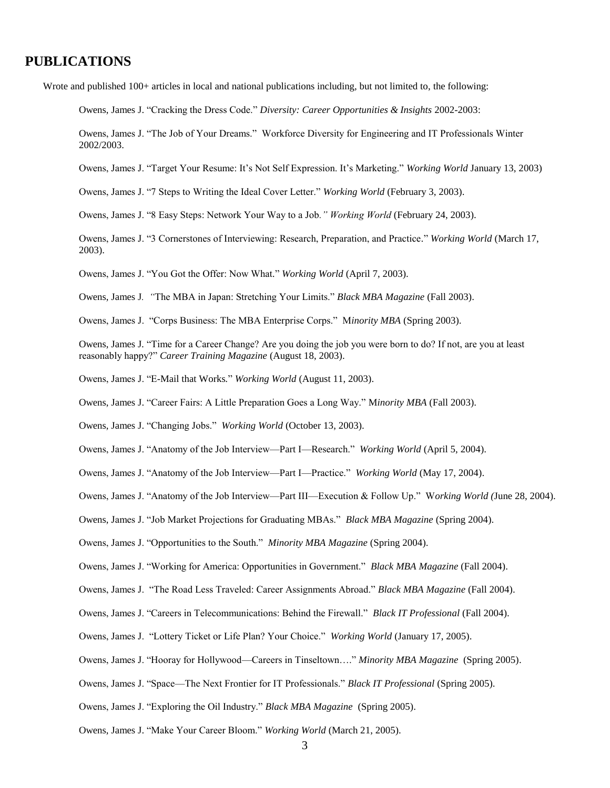# **PUBLICATIONS**

Wrote and published 100+ articles in local and national publications including, but not limited to, the following:

Owens, James J. "Cracking the Dress Code." *Diversity: Career Opportunities & Insights* 2002-2003:

Owens, James J. "The Job of Your Dreams." Workforce Diversity for Engineering and IT Professionals Winter 2002/2003.

Owens, James J. "Target Your Resume: It's Not Self Expression. It's Marketing." *Working World* January 13, 2003)

Owens, James J. "7 Steps to Writing the Ideal Cover Letter." *Working World* (February 3, 2003).

Owens, James J. "8 Easy Steps: Network Your Way to a Job*." Working World* (February 24, 2003).

Owens, James J. "3 Cornerstones of Interviewing: Research, Preparation, and Practice*.*" *Working World* (March 17, 2003).

Owens, James J. "You Got the Offer: Now What*.*" *Working World* (April 7, 2003).

Owens, James J*. "*The MBA in Japan: Stretching Your Limits." *Black MBA Magazine* (Fall 2003).

Owens, James J. "Corps Business: The MBA Enterprise Corps." M*inority MBA* (Spring 2003).

Owens, James J*.* "Time for a Career Change? Are you doing the job you were born to do? If not, are you at least reasonably happy?" *Career Training Magazine* (August 18, 2003).

Owens, James J. "E-Mail that Works*.*" *Working World* (August 11, 2003).

Owens, James J. "Career Fairs: A Little Preparation Goes a Long Way." M*inority MBA* (Fall 2003).

Owens, James J. "Changing Jobs." *Working World* (October 13, 2003).

Owens, James J. "Anatomy of the Job Interview—Part I—Research." *Working World* (April 5, 2004).

Owens, James J. "Anatomy of the Job Interview—Part I—Practice." *Working World* (May 17, 2004).

Owens, James J. "Anatomy of the Job Interview—Part III—Execution & Follow Up." W*orking World (*June 28, 2004).

Owens, James J. "Job Market Projections for Graduating MBAs." *Black MBA Magazine* (Spring 2004).

Owens, James J. "Opportunities to the South." *Minority MBA Magazine* (Spring 2004).

Owens, James J. "Working for America: Opportunities in Government." *Black MBA Magazine* (Fall 2004).

Owens, James J. "The Road Less Traveled: Career Assignments Abroad." *Black MBA Magazine* (Fall 2004).

Owens, James J. "Careers in Telecommunications: Behind the Firewall." *Black IT Professional* (Fall 2004).

Owens, James J. "Lottery Ticket or Life Plan? Your Choice." *Working World* (January 17, 2005).

Owens, James J. "Hooray for Hollywood—Careers in Tinseltown…." *Minority MBA Magazine* (Spring 2005).

Owens, James J. "Space—The Next Frontier for IT Professionals." *Black IT Professional* (Spring 2005).

Owens, James J. "Exploring the Oil Industry." *Black MBA Magazine* (Spring 2005).

Owens, James J. "Make Your Career Bloom." *Working World* (March 21, 2005).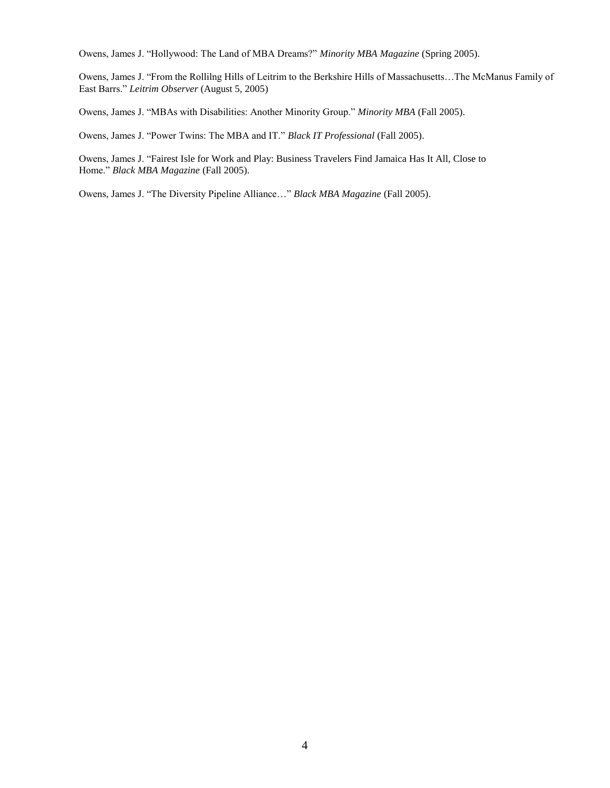Owens, James J. "Hollywood: The Land of MBA Dreams?" *Minority MBA Magazine* (Spring 2005).

Owens, James J. "From the Rollilng Hills of Leitrim to the Berkshire Hills of Massachusetts…The McManus Family of East Barrs." *Leitrim Observer* (August 5, 2005)

Owens, James J. "MBAs with Disabilities: Another Minority Group." *Minority MBA* (Fall 2005).

Owens, James J. "Power Twins: The MBA and IT." *Black IT Professional* (Fall 2005).

Owens, James J. "Fairest Isle for Work and Play: Business Travelers Find Jamaica Has It All, Close to Home." *Black MBA Magazine* (Fall 2005).

Owens, James J. "The Diversity Pipeline Alliance…" *Black MBA Magazine* (Fall 2005).